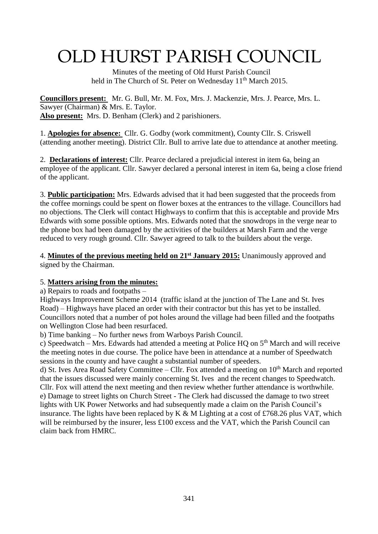# OLD HURST PARISH COUNCIL

 Minutes of the meeting of Old Hurst Parish Council held in The Church of St. Peter on Wednesday 11<sup>th</sup> March 2015.

**Councillors present:** Mr. G. Bull, Mr. M. Fox, Mrs. J. Mackenzie, Mrs. J. Pearce, Mrs. L. Sawyer (Chairman) & Mrs. E. Taylor. **Also present:** Mrs. D. Benham (Clerk) and 2 parishioners.

1. **Apologies for absence:** Cllr. G. Godby (work commitment), County Cllr. S. Criswell (attending another meeting). District Cllr. Bull to arrive late due to attendance at another meeting.

2. **Declarations of interest:** Cllr. Pearce declared a prejudicial interest in item 6a, being an employee of the applicant. Cllr. Sawyer declared a personal interest in item 6a, being a close friend of the applicant.

3. **Public participation:** Mrs. Edwards advised that it had been suggested that the proceeds from the coffee mornings could be spent on flower boxes at the entrances to the village. Councillors had no objections. The Clerk will contact Highways to confirm that this is acceptable and provide Mrs Edwards with some possible options. Mrs. Edwards noted that the snowdrops in the verge near to the phone box had been damaged by the activities of the builders at Marsh Farm and the verge reduced to very rough ground. Cllr. Sawyer agreed to talk to the builders about the verge.

4. **Minutes of the previous meeting held on 21st January 2015:** Unanimously approved and signed by the Chairman.

## 5. **Matters arising from the minutes:**

a) Repairs to roads and footpaths –

Highways Improvement Scheme 2014 (traffic island at the junction of The Lane and St. Ives Road) – Highways have placed an order with their contractor but this has yet to be installed. Councillors noted that a number of pot holes around the village had been filled and the footpaths on Wellington Close had been resurfaced.

b) Time banking – No further news from Warboys Parish Council.

c) Speedwatch – Mrs. Edwards had attended a meeting at Police HQ on  $5<sup>th</sup>$  March and will receive the meeting notes in due course. The police have been in attendance at a number of Speedwatch sessions in the county and have caught a substantial number of speeders.

d) St. Ives Area Road Safety Committee – Cllr. Fox attended a meeting on  $10<sup>th</sup>$  March and reported that the issues discussed were mainly concerning St. Ives and the recent changes to Speedwatch. Cllr. Fox will attend the next meeting and then review whether further attendance is worthwhile. e) Damage to street lights on Church Street - The Clerk had discussed the damage to two street lights with UK Power Networks and had subsequently made a claim on the Parish Council's insurance. The lights have been replaced by K & M Lighting at a cost of £768.26 plus VAT, which will be reimbursed by the insurer, less £100 excess and the VAT, which the Parish Council can claim back from HMRC.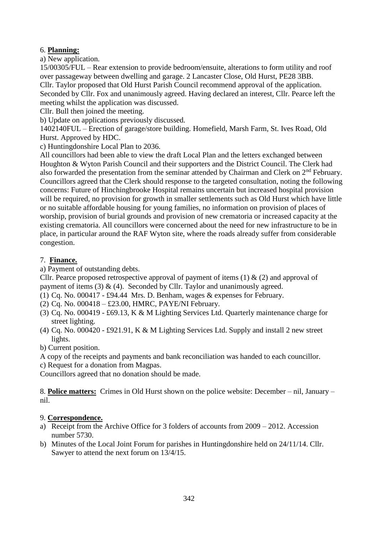## 6. **Planning:**

a) New application.

15/00305/FUL – Rear extension to provide bedroom/ensuite, alterations to form utility and roof over passageway between dwelling and garage. 2 Lancaster Close, Old Hurst, PE28 3BB. Cllr. Taylor proposed that Old Hurst Parish Council recommend approval of the application. Seconded by Cllr. Fox and unanimously agreed. Having declared an interest, Cllr. Pearce left the meeting whilst the application was discussed.

Cllr. Bull then joined the meeting.

b) Update on applications previously discussed.

1402140FUL – Erection of garage/store building. Homefield, Marsh Farm, St. Ives Road, Old Hurst. Approved by HDC.

c) Huntingdonshire Local Plan to 2036.

All councillors had been able to view the draft Local Plan and the letters exchanged between Houghton & Wyton Parish Council and their supporters and the District Council. The Clerk had also forwarded the presentation from the seminar attended by Chairman and Clerk on 2<sup>nd</sup> February. Councillors agreed that the Clerk should response to the targeted consultation, noting the following concerns: Future of Hinchingbrooke Hospital remains uncertain but increased hospital provision will be required, no provision for growth in smaller settlements such as Old Hurst which have little or no suitable affordable housing for young families, no information on provision of places of worship, provision of burial grounds and provision of new crematoria or increased capacity at the existing crematoria. All councillors were concerned about the need for new infrastructure to be in place, in particular around the RAF Wyton site, where the roads already suffer from considerable congestion.

### 7. **Finance.**

a) Payment of outstanding debts.

Cllr. Pearce proposed retrospective approval of payment of items  $(1) \& (2)$  and approval of payment of items (3)  $\&$  (4). Seconded by Cllr. Taylor and unanimously agreed.

- (1) Cq. No.  $000417 \text{\textsterling}94.44$  Mrs. D. Benham, wages & expenses for February.
- (2) Cq. No. 000418 £23.00, HMRC, PAYE/NI February.
- (3) Cq. No. 000419 £69.13, K & M Lighting Services Ltd. Quarterly maintenance charge for street lighting.
- (4) Cq. No. 000420 £921.91, K & M Lighting Services Ltd. Supply and install 2 new street lights.
- b) Current position.
- A copy of the receipts and payments and bank reconciliation was handed to each councillor.

c) Request for a donation from Magpas.

Councillors agreed that no donation should be made.

8. **Police matters:** Crimes in Old Hurst shown on the police website: December – nil, January – nil.

## 9. **Correspondence.**

- a) Receipt from the Archive Office for 3 folders of accounts from 2009 2012. Accession number 5730.
- b) Minutes of the Local Joint Forum for parishes in Huntingdonshire held on 24/11/14. Cllr. Sawyer to attend the next forum on 13/4/15.